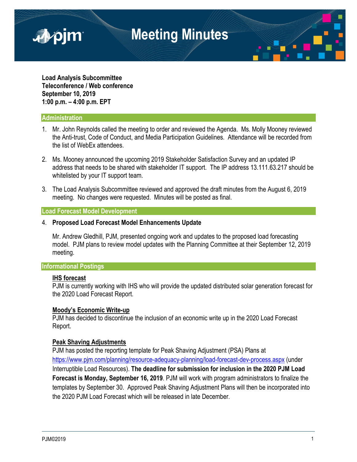

**Load Analysis Subcommittee Teleconference / Web conference September 10, 2019 1:00 p.m. – 4:00 p.m. EPT**

### **Administration**

- 1. Mr. John Reynolds called the meeting to order and reviewed the Agenda. Ms. Molly Mooney reviewed the Anti-trust, Code of Conduct, and Media Participation Guidelines. Attendance will be recorded from the list of WebEx attendees.
- 2. Ms. Mooney announced the upcoming 2019 Stakeholder Satisfaction Survey and an updated IP address that needs to be shared with stakeholder IT support. The IP address 13.111.63.217 should be whitelisted by your IT support team.
- 3. The Load Analysis Subcommittee reviewed and approved the draft minutes from the August 6, 2019 meeting. No changes were requested. Minutes will be posted as final.

#### **Load Forecast Model Development**

#### 4. **Proposed Load Forecast Model Enhancements Update**

Mr. Andrew Gledhill, PJM, presented ongoing work and updates to the proposed load forecasting model. PJM plans to review model updates with the Planning Committee at their September 12, 2019 meeting.

## **Informational Postings**

#### **IHS forecast**

PJM is currently working with IHS who will provide the updated distributed solar generation forecast for the 2020 Load Forecast Report.

#### **Moody's Economic Write-up**

PJM has decided to discontinue the inclusion of an economic write up in the 2020 Load Forecast Report.

#### **Peak Shaving Adjustments**

PJM has posted the reporting template for Peak Shaving Adjustment (PSA) Plans at <https://www.pjm.com/planning/resource-adequacy-planning/load-forecast-dev-process.aspx> (under Interruptible Load Resources). **The deadline for submission for inclusion in the 2020 PJM Load Forecast is Monday, September 16, 2019**. PJM will work with program administrators to finalize the templates by September 30. Approved Peak Shaving Adjustment Plans will then be incorporated into the 2020 PJM Load Forecast which will be released in late December.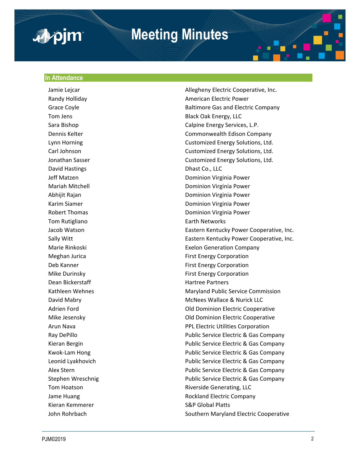

# **Meeting Minutes**

#### **In Attendance**

David Hastings **Dhast Co., LLC** Tom Rutigliano **Earth Networks Dean Bickerstaff Hartree Partners** Kieran Kemmerer S&P Global Platts

Jamie Lejcar **Allegheny Electric Cooperative, Inc.** Allegheny Electric Cooperative, Inc. Randy Holliday **American Electric Power American Electric Power** Grace Coyle **Baltimore Gas and Electric Company** Tom Jens **Black Oak Energy, LLC** Sara Bishop Calpine Energy Services, L.P. Dennis Kelter Commonwealth Edison Company Lynn Horning Customized Energy Solutions, Ltd. Carl Johnson Customized Energy Solutions, Ltd. Jonathan Sasser Customized Energy Solutions, Ltd. Jeff Matzen Dominion Virginia Power Mariah Mitchell Dominion Virginia Power Abhijit Rajan **Dominion Virginia Power** Karim Siamer **No. 2018 Commission Commission Commission Commission Commission Commission Commission Commission Commission Commission Commission Commission Commission Commission Commission Commission Commission Commission** Robert Thomas **No. 2018 CONFIDENTIAL CONSUMING POWER** Dominion Virginia Power Jacob Watson **Eastern Kentucky Power Cooperative, Inc.** Sally Witt Eastern Kentucky Power Cooperative, Inc. Marie Rinkoski Exelon Generation Company Meghan Jurica **First Energy Corporation** Deb Kanner First Energy Corporation Mike Durinsky **First Energy Corporation** Kathleen Wehnes **Maryland Public Service Commission** David Mabry **Mathews** McNees Wallace & Nurick LLC Adrien Ford **Communist Cooperative** Cooperative Cooperative Mike Jesensky Old Dominion Electric Cooperative Arun Nava PPL Electric Utilities Corporation Ray DePillo Public Service Electric & Gas Company Kieran Bergin Public Service Electric & Gas Company Kwok-Lam Hong The Public Service Electric & Gas Company Leonid Lyakhovich Public Service Electric & Gas Company Alex Stern Public Service Electric & Gas Company Stephen Wreschnig **Public Service Electric & Gas Company** Tom Hoatson **Riverside Generating, LLC** Jame Huang Rockland Electric Company John Rohrbach Southern Maryland Electric Cooperative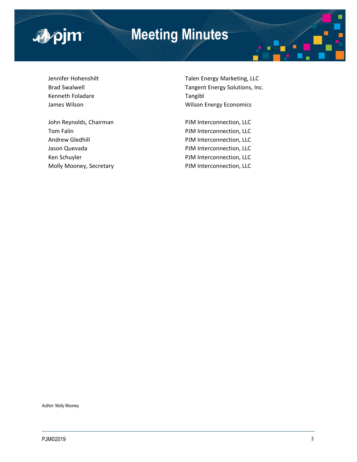

# **Meeting Minutes**

Kenneth Foladare Tangibl

Jennifer Hohenshilt Talen Energy Marketing, LLC Brad Swalwell **Tangent Energy Solutions**, Inc. James Wilson **Million** Wilson Energy Economics

Tom Falin **PJM** Interconnection, LLC Andrew Gledhill **Andrew Gledhill** PJM Interconnection, LLC Jason Quevada **PJM Interconnection**, LLC Ken Schuyler **PJM** Interconnection, LLC Molly Mooney, Secretary **PJM Interconnection**, LLC

John Reynolds, Chairman PJM Interconnection, LLC

Author: Molly Mooney